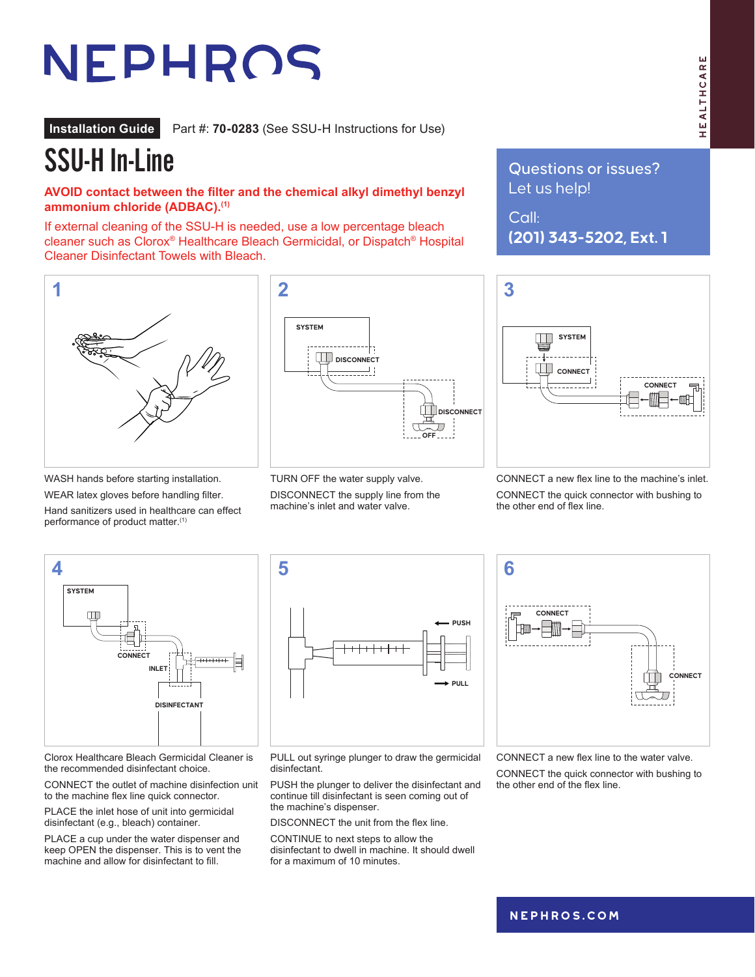# NEPHROS

**Installation Guide** Part #: **70-0283** (See SSU-H Instructions for Use)

## SSU-H In-Line

#### **AVOID contact between the filter and the chemical alkyl dimethyl benzyl ammonium chloride (ADBAC).(1)**

If external cleaning of the SSU-H is needed, use a low percentage bleach cleaner such as Clorox® Healthcare Bleach Germicidal, or Dispatch® Hospital Cleaner Disinfectant Towels with Bleach.



WEAR latex gloves before handling filter. Hand sanitizers used in healthcare can effect

performance of product matter.<sup>(1)</sup>

**1 2 3 SYSTEM**  $\Box$  . **DISCONNECT DISCONNECT** ш **DISCONNECT DISCONNECT** IJ П **OFF OFF**

> TURN OFF the water supply valve. DISCONNECT the supply line from the machine's inlet and water valve.

Questions or issues? Let us help!

Call: **(201) 343-5202, Ext. 1**



CONNECT a new flex line to the machine's inlet. CONNECT the quick connector with bushing to the other end of flex line.



Clorox Healthcare Bleach Germicidal Cleaner is the recommended disinfectant choice.

CONNECT the outlet of machine disinfection unit to the machine flex line quick connector.

PLACE the inlet hose of unit into germicidal disinfectant (e.g., bleach) container.

PLACE a cup under the water dispenser and keep OPEN the dispenser. This is to vent the machine and allow for disinfectant to fill.



PULL out syringe plunger to draw the germicidal disinfectant.

PUSH the plunger to deliver the disinfectant and continue till disinfectant is seen coming out of the machine's dispenser.

DISCONNECT the unit from the flex line.

CONTINUE to next steps to allow the disinfectant to dwell in machine. It should dwell for a maximum of 10 minutes.



CONNECT a new flex line to the water valve.

CONNECT the quick connector with bushing to the other end of the flex line.